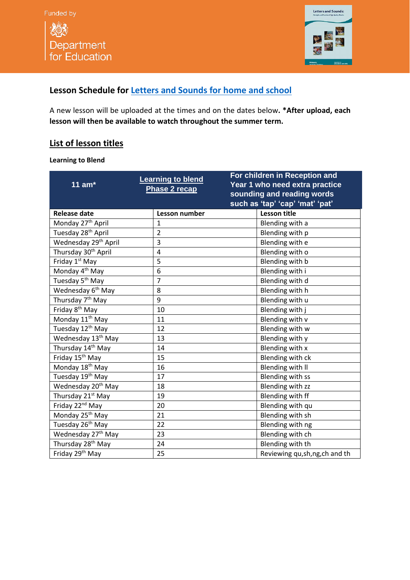



## **Lesson Schedule for Letters and Sounds [for home and school](https://www.youtube.com/channel/UCP_FbjYUP_UtldV2K_-niWw/featured?disable_polymer=1)**

A new lesson will be uploaded at the times and on the dates below**. \*After upload, each lesson will then be available to watch throughout the summer term.**

## **List of lesson titles**

## **Learning to Blend**

| 11 $am*$                         | <b>Learning to blend</b><br>Phase 2 recap | For children in Reception and<br>Year 1 who need extra practice<br>sounding and reading words |
|----------------------------------|-------------------------------------------|-----------------------------------------------------------------------------------------------|
|                                  |                                           | such as 'tap' 'cap' 'mat' 'pat'                                                               |
| <b>Release date</b>              | Lesson number                             | <b>Lesson title</b>                                                                           |
| Monday 27 <sup>th</sup> April    | $\mathbf{1}$                              | Blending with a                                                                               |
| Tuesday 28 <sup>th</sup> April   | $\overline{2}$                            | Blending with p                                                                               |
| Wednesday 29 <sup>th</sup> April | 3                                         | Blending with e                                                                               |
| Thursday 30 <sup>th</sup> April  | 4                                         | Blending with o                                                                               |
| Friday 1 <sup>st</sup> May       | 5                                         | Blending with b                                                                               |
| Monday 4 <sup>th</sup> May       | 6                                         | Blending with i                                                                               |
| Tuesday 5 <sup>th</sup> May      | $\overline{7}$                            | Blending with d                                                                               |
| Wednesday 6 <sup>th</sup> May    | 8                                         | Blending with h                                                                               |
| Thursday 7 <sup>th</sup> May     | 9                                         | Blending with u                                                                               |
| Friday 8 <sup>th</sup> May       | 10                                        | Blending with j                                                                               |
| Monday 11 <sup>th</sup> May      | 11                                        | Blending with v                                                                               |
| Tuesday 12 <sup>th</sup> May     | 12                                        | Blending with w                                                                               |
| Wednesday 13 <sup>th</sup> May   | 13                                        | Blending with y                                                                               |
| Thursday 14 <sup>th</sup> May    | 14                                        | Blending with x                                                                               |
| Friday 15 <sup>th</sup> May      | 15                                        | Blending with ck                                                                              |
| Monday 18 <sup>th</sup> May      | 16                                        | Blending with II                                                                              |
| Tuesday 19 <sup>th</sup> May     | 17                                        | <b>Blending with ss</b>                                                                       |
| Wednesday 20 <sup>th</sup> May   | 18                                        | Blending with zz                                                                              |
| Thursday 21 <sup>st</sup> May    | 19                                        | Blending with ff                                                                              |
| Friday 22 <sup>nd</sup> May      | 20                                        | Blending with qu                                                                              |
| Monday 25 <sup>th</sup> May      | 21                                        | Blending with sh                                                                              |
| Tuesday 26 <sup>th</sup> May     | 22                                        | Blending with ng                                                                              |
| Wednesday 27th May               | 23                                        | Blending with ch                                                                              |
| Thursday 28 <sup>th</sup> May    | 24                                        | Blending with th                                                                              |
| Friday 29 <sup>th</sup> May      | 25                                        | Reviewing qu,sh,ng,ch and th                                                                  |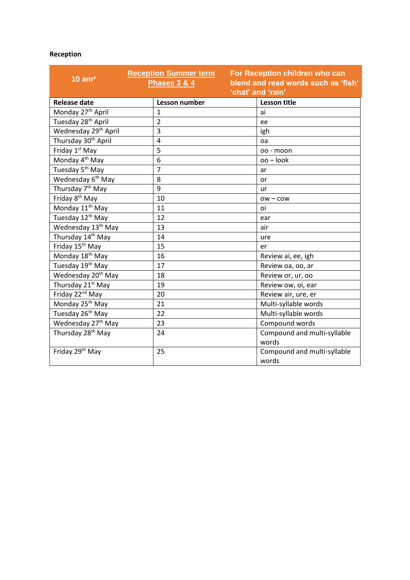## **Reception**

| 10 $am*$                         | <b>Reception Summer term</b><br><b>Phases 3 &amp; 4</b> | For Reception children who can<br>blend and read words such as 'fish'<br>'chat' and 'rain' |
|----------------------------------|---------------------------------------------------------|--------------------------------------------------------------------------------------------|
| <b>Release date</b>              | Lesson number                                           | <b>Lesson title</b>                                                                        |
| Monday 27 <sup>th</sup> April    | $\mathbf{1}$                                            | ai                                                                                         |
| Tuesday 28 <sup>th</sup> April   | $\overline{2}$                                          | ee                                                                                         |
| Wednesday 29 <sup>th</sup> April | 3                                                       | igh                                                                                        |
| Thursday 30 <sup>th</sup> April  | 4                                                       | oa                                                                                         |
| Friday 1 <sup>st</sup> May       | 5                                                       | oo - moon                                                                                  |
| Monday 4 <sup>th</sup> May       | 6                                                       | oo - look                                                                                  |
| Tuesday 5 <sup>th</sup> May      | $\overline{7}$                                          | ar                                                                                         |
| Wednesday 6 <sup>th</sup> May    | 8                                                       | or                                                                                         |
| Thursday 7 <sup>th</sup> May     | 9                                                       | ur                                                                                         |
| Friday 8 <sup>th</sup> May       | 10                                                      | $ow - cow$                                                                                 |
| Monday 11 <sup>th</sup> May      | 11                                                      | oi                                                                                         |
| Tuesday 12th May                 | 12                                                      | ear                                                                                        |
| Wednesday 13 <sup>th</sup> May   | 13                                                      | air                                                                                        |
| Thursday 14 <sup>th</sup> May    | 14                                                      | ure                                                                                        |
| Friday 15 <sup>th</sup> May      | 15                                                      | er                                                                                         |
| Monday 18 <sup>th</sup> May      | 16                                                      | Review ai, ee, igh                                                                         |
| Tuesday 19 <sup>th</sup> May     | 17                                                      | Review oa, oo, ar                                                                          |
| Wednesday 20 <sup>th</sup> May   | 18                                                      | Review or, ur, oo                                                                          |
| Thursday 21 <sup>st</sup> May    | 19                                                      | Review ow, oi, ear                                                                         |
| Friday 22 <sup>nd</sup> May      | 20                                                      | Review air, ure, er                                                                        |
| Monday 25 <sup>th</sup> May      | 21                                                      | Multi-syllable words                                                                       |
| Tuesday 26 <sup>th</sup> May     | 22                                                      | Multi-syllable words                                                                       |
| Wednesday 27 <sup>th</sup> May   | 23                                                      | Compound words                                                                             |
| Thursday 28 <sup>th</sup> May    | 24                                                      | Compound and multi-syllable                                                                |
|                                  |                                                         | words                                                                                      |
| Friday 29 <sup>th</sup> May      | 25                                                      | Compound and multi-syllable                                                                |
|                                  |                                                         | words                                                                                      |